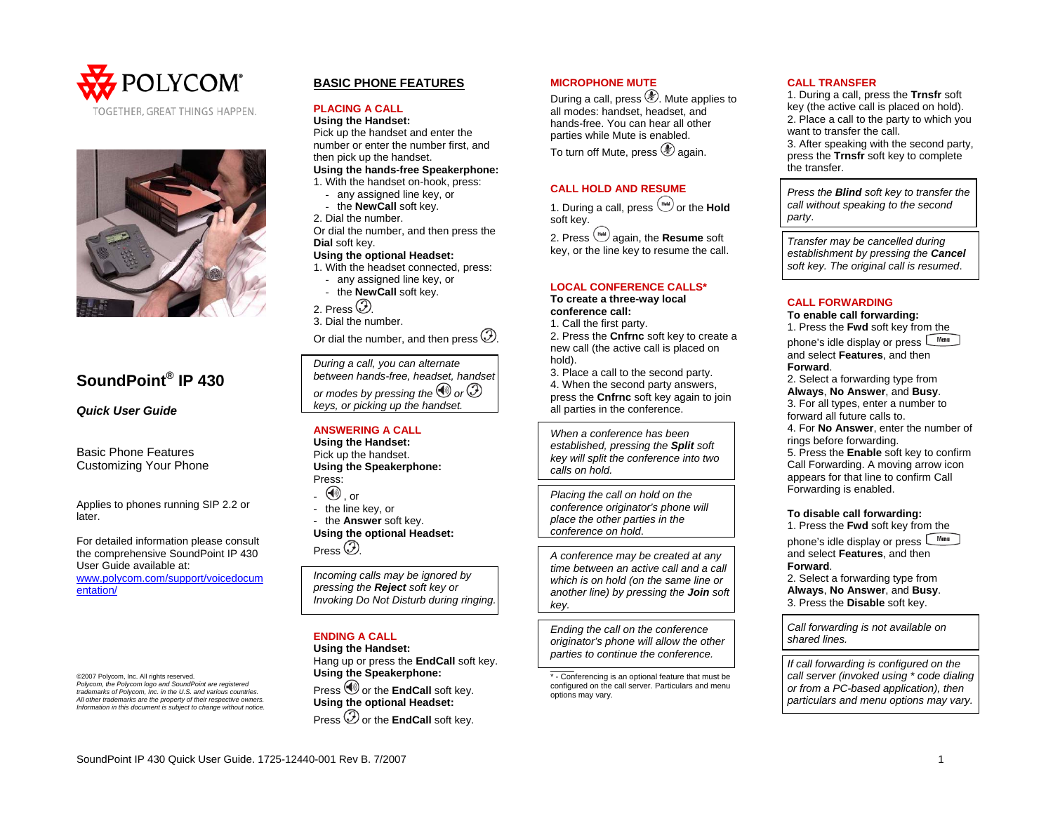



# **SoundPoint® IP 430**

*Quick User Guide* 

Basic Phone Features Customizing Your Phone

Applies to phones running SIP 2.2 or later.

For detailed information please consult the comprehensive SoundPoint IP 430 User Guide available at:

[www.polycom.com/support/voicedocum](http://www.polycom.com/support/voicedocumentation/) [entation/](http://www.polycom.com/support/voicedocumentation/)

©2007 Polycom, Inc. All rights reserved. *Polycom, the Polycom logo and SoundPoint are registered trademarks of Polycom, Inc. in the U.S. and various countries. All other trademarks are the property of their respective owners. Information in this document is subject to change without notice.*

# **BASIC PHONE FEATURES**

#### **PLACING A CALL**

**Using the Handset:**  Pick up the handset and enter the number or enter the number first, and then pick up the handset. **Using the hands-free Speakerphone:** 

1. With the handset on-hook, press:

- any assigned line key, or - the **NewCall** soft key.
- 2. Dial the number.

Or dial the number, and then press the **Dial** soft key.

# **Using the optional Headset:**

- 1. With the headset connected, press:
	- any assigned line key, or - the **NewCall** soft key.

2. Press  $\circled{2}$ 

3. Dial the number.

Or dial the number, and then press  $\mathcal{D}$ .

*During a call, you can alternate between hands-free, headset, handset or modes by pressing the*  $\bigcirc$  *or*  $\bigcirc$ *keys, or picking up the handset.* 

# **ANSWERING A CALL**

**Using the Handset:**  Pick up the handset. **Using the Speakerphone:**  Press:

- $\mathbb{U}$  , or
- the line key, or

- the **Answer** soft key. **Using the optional Headset:**  Press  $\circled{2}$ 

*Incoming calls may be ignored by pressing the Reject soft key or Invoking Do Not Disturb during ringing.* 

## **ENDING A CALL**

**Using the Handset:**  Hang up or press the **EndCall** soft key. **Using the Speakerphone:**  Press  $\bigcirc$  or the **EndCall** soft key.

**Using the optional Headset:**  Press  $\mathcal D$  or the **EndCall** soft key.

# **MICROPHONE MUTE**

During a call, press . Mute applies to all modes: handset, headset, and hands-free. You can hear all other parties while Mute is enabled. To turn off Mute, press  $\circledast$  again.

# **CALL HOLD AND RESUME**

1. During a call, press  $\overset{\text{(flat)}}{=}$  or the **Hold** soft key.

2. Press  $\left(\frac{1}{2}a\right)$  again, the **Resume** soft key, or the line key to resume the call.

# **LOCAL CONFERENCE CALLS\***

**To create a three-way local conference call:** 

1. Call the first party.

2. Press the **Cnfrnc** soft key to create a new call (the active call is placed on hold).

3. Place a call to the second party. 4. When the second party answers, press the **Cnfrnc** soft key again to join all parties in the conference.

*When a conference has been established, pressing the Split soft key will split the conference into two calls on hold.* 

*Placing the call on hold on the conference originator's phone will place the other parties in the conference on hold*.

*A conference may be created at any time between an active call and a call which is on hold (on the same line or another line) by pressing the Join soft key.* 

*Ending the call on the conference originator's phone will allow the other parties to continue the conference.* 

\_\_\_\_ \* - Conferencing is an optional feature that must be configured on the call server. Particulars and menu options may vary.

#### **CALL TRANSFER**

1. During a call, press the **Trnsfr** soft key (the active call is placed on hold). 2. Place a call to the party to which you want to transfer the call. 3. After speaking with the second party, press the **Trnsfr** soft key to complete the transfer.

*Press the Blind soft key to transfer the call without speaking to the second party*.

*Transfer may be cancelled during establishment by pressing the Cancel soft key. The original call is resumed*.

#### **CALL FORWARDING**

#### **To enable call forwarding:**

1. Press the **Fwd** soft key from the phone's idle display or press Wenu and select **Features**, and then **Forward**.

2. Select a forwarding type from

**Always**, **No Answer**, and **Busy**. 3. For all types, enter a number to forward all future calls to.

4. For **No Answer**, enter the number of rings before forwarding.

5. Press the **Enable** soft key to confirm Call Forwarding. A moving arrow icon appears for that line to confirm Call Forwarding is enabled.

#### **To disable call forwarding:**

1. Press the **Fwd** soft key from the

phone's idle display or press Wenu and select **Features**, and then **Forward**.

2. Select a forwarding type from **Always**, **No Answer**, and **Busy**. 3. Press the **Disable** soft key.

*Call forwarding is not available on shared lines.* 

*If call forwarding is configured on the call server (invoked using \* code dialing or from a PC-based application), then particulars and menu options may vary.*